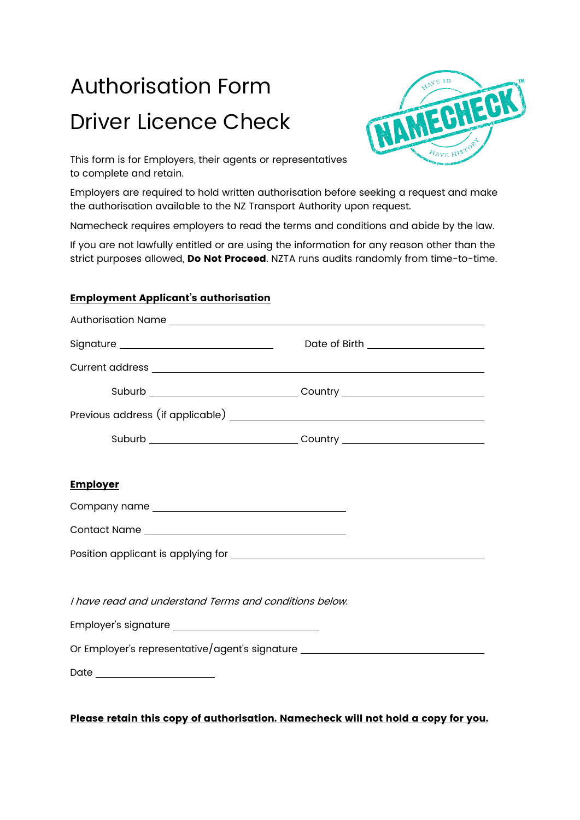# Authorisation Form Driver Licence Check



This form is for Employers, their agents or representatives to complete and retain.

Employers are required to hold written authorisation before seeking a request and make the authorisation available to the NZ Transport Authority upon request.

Namecheck requires employers to read the terms and conditions and abide by the law.

If you are not lawfully entitled or are using the information for any reason other than the strict purposes allowed, Do Not Proceed. NZTA runs audits randomly from time-to-time.

### Employment Applicant's authorisation

| Signature __________________________________           | Date of Birth ______________________                                             |  |
|--------------------------------------------------------|----------------------------------------------------------------------------------|--|
|                                                        |                                                                                  |  |
|                                                        |                                                                                  |  |
|                                                        |                                                                                  |  |
|                                                        |                                                                                  |  |
|                                                        |                                                                                  |  |
| <b>Employer</b>                                        |                                                                                  |  |
|                                                        |                                                                                  |  |
|                                                        |                                                                                  |  |
|                                                        |                                                                                  |  |
|                                                        |                                                                                  |  |
| I have read and understand Terms and conditions below. |                                                                                  |  |
|                                                        |                                                                                  |  |
|                                                        | Or Employer's representative/agent's signature _________________________________ |  |
|                                                        |                                                                                  |  |
|                                                        |                                                                                  |  |

#### Please retain this copy of authorisation. Namecheck will not hold a copy for you.